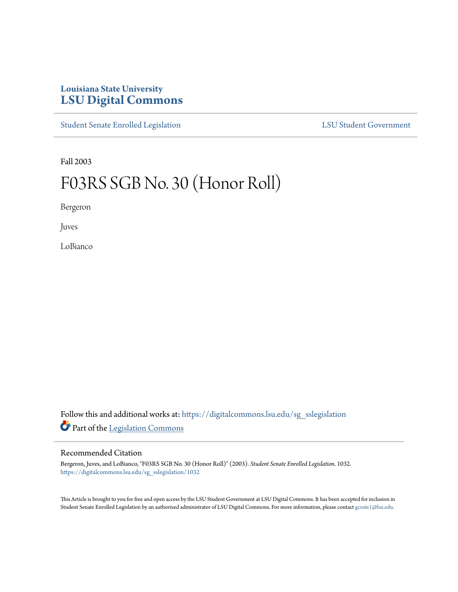## **Louisiana State University [LSU Digital Commons](https://digitalcommons.lsu.edu?utm_source=digitalcommons.lsu.edu%2Fsg_sslegislation%2F1032&utm_medium=PDF&utm_campaign=PDFCoverPages)**

[Student Senate Enrolled Legislation](https://digitalcommons.lsu.edu/sg_sslegislation?utm_source=digitalcommons.lsu.edu%2Fsg_sslegislation%2F1032&utm_medium=PDF&utm_campaign=PDFCoverPages) [LSU Student Government](https://digitalcommons.lsu.edu/sg?utm_source=digitalcommons.lsu.edu%2Fsg_sslegislation%2F1032&utm_medium=PDF&utm_campaign=PDFCoverPages)

Fall 2003

## F03RS SGB No. 30 (Honor Roll)

Bergeron

Juves

LoBianco

Follow this and additional works at: [https://digitalcommons.lsu.edu/sg\\_sslegislation](https://digitalcommons.lsu.edu/sg_sslegislation?utm_source=digitalcommons.lsu.edu%2Fsg_sslegislation%2F1032&utm_medium=PDF&utm_campaign=PDFCoverPages) Part of the [Legislation Commons](http://network.bepress.com/hgg/discipline/859?utm_source=digitalcommons.lsu.edu%2Fsg_sslegislation%2F1032&utm_medium=PDF&utm_campaign=PDFCoverPages)

## Recommended Citation

Bergeron, Juves, and LoBianco, "F03RS SGB No. 30 (Honor Roll)" (2003). *Student Senate Enrolled Legislation*. 1032. [https://digitalcommons.lsu.edu/sg\\_sslegislation/1032](https://digitalcommons.lsu.edu/sg_sslegislation/1032?utm_source=digitalcommons.lsu.edu%2Fsg_sslegislation%2F1032&utm_medium=PDF&utm_campaign=PDFCoverPages)

This Article is brought to you for free and open access by the LSU Student Government at LSU Digital Commons. It has been accepted for inclusion in Student Senate Enrolled Legislation by an authorized administrator of LSU Digital Commons. For more information, please contact [gcoste1@lsu.edu.](mailto:gcoste1@lsu.edu)